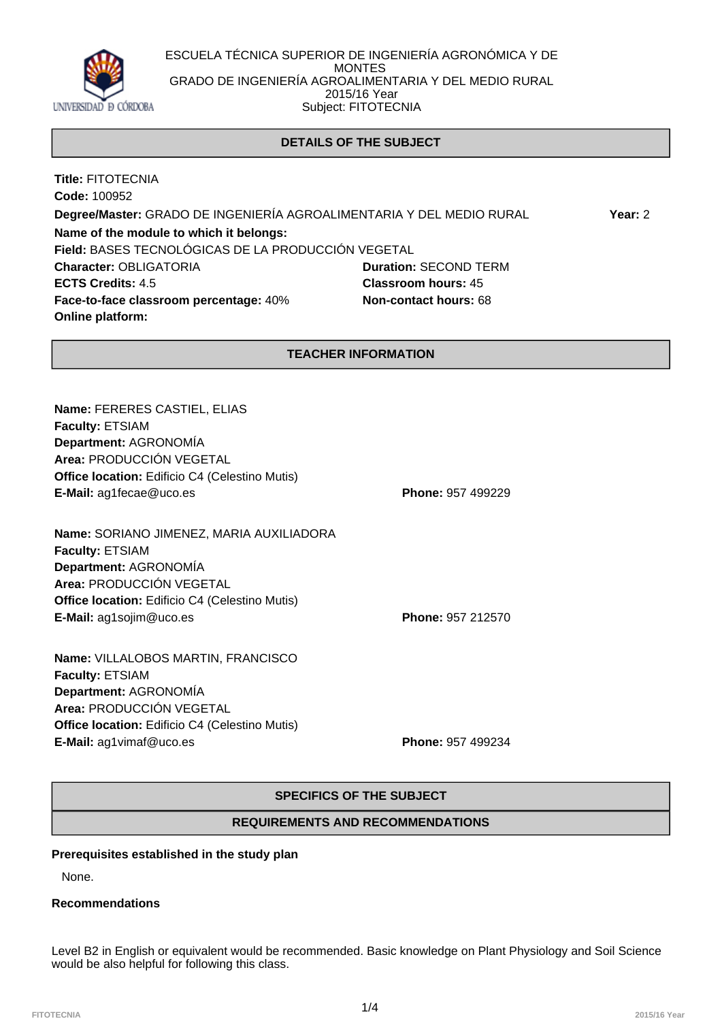

ESCUELA TÉCNICA SUPERIOR DE INGENIERÍA AGRONÓMICA Y DE MONTES GRADO DE INGENIERÍA AGROALIMENTARIA Y DEL MEDIO RURAL 2015/16 Year Subject: FITOTECNIA

# **DETAILS OF THE SUBJECT**

**Title:** FITOTECNIA **Code:** 100952 **Degree/Master:** GRADO DE INGENIERÍA AGROALIMENTARIA Y DEL MEDIO RURAL **Year:** 2 **Name of the module to which it belongs: Field:** BASES TECNOLÓGICAS DE LA PRODUCCIÓN VEGETAL **Character:** OBLIGATORIA **Duration:** SECOND TERM **ECTS Credits:** 4.5 **Classroom hours:** 45 **Face-to-face classroom percentage:** 40% **Non-contact hours:** 68 **Online platform:**

## **TEACHER INFORMATION**

**Name:** FERERES CASTIEL, ELIAS **Faculty:** ETSIAM **Department:** AGRONOMÍA **Area:** PRODUCCIÓN VEGETAL **Office location:** Edificio C4 (Celestino Mutis) **E-Mail:** ag1fecae@uco.es **Phone:** 957 499229

**Name:** SORIANO JIMENEZ, MARIA AUXILIADORA **Faculty:** ETSIAM **Department:** AGRONOMÍA **Area:** PRODUCCIÓN VEGETAL **Office location:** Edificio C4 (Celestino Mutis) **E-Mail:** ag1sojim@uco.es **Phone:** 957 212570

**Name:** VILLALOBOS MARTIN, FRANCISCO **Faculty:** ETSIAM **Department:** AGRONOMÍA **Area:** PRODUCCIÓN VEGETAL **Office location:** Edificio C4 (Celestino Mutis) **E-Mail:** ag1vimaf@uco.es **Phone:** 957 499234

# **SPECIFICS OF THE SUBJECT**

## **REQUIREMENTS AND RECOMMENDATIONS**

## **Prerequisites established in the study plan**

None.

### **Recommendations**

Level B2 in English or equivalent would be recommended. Basic knowledge on Plant Physiology and Soil Science would be also helpful for following this class.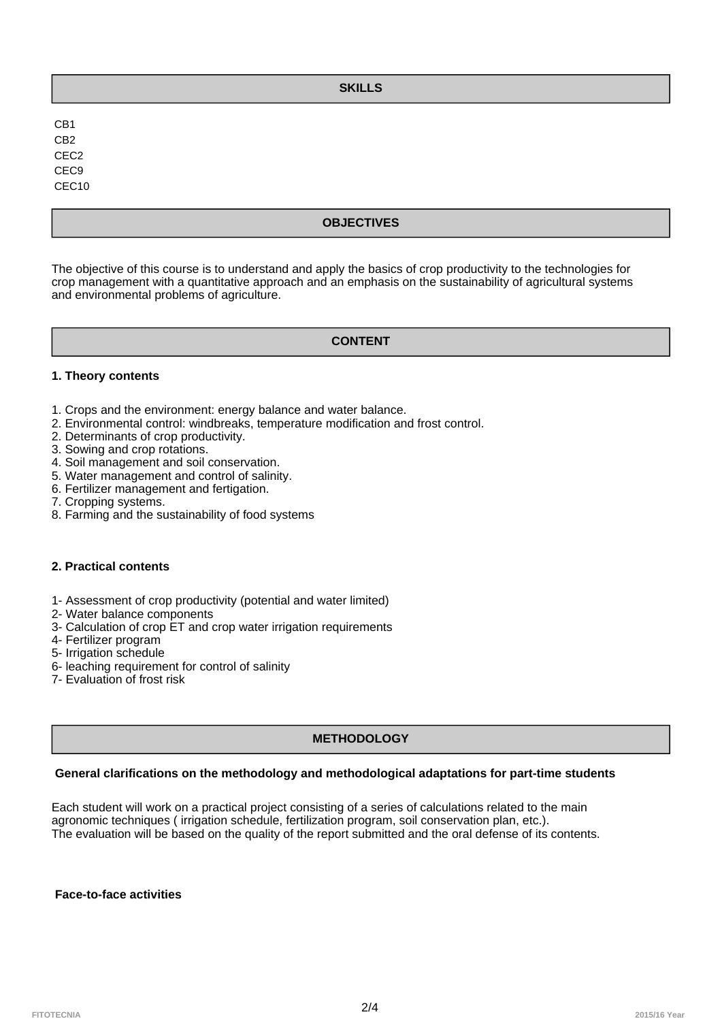# **SKILLS**

CB1 CB2 CEC2 CEC9 CEC10

# **OBJECTIVES**

The objective of this course is to understand and apply the basics of crop productivity to the technologies for crop management with a quantitative approach and an emphasis on the sustainability of agricultural systems and environmental problems of agriculture.

## **CONTENT**

## **1. Theory contents**

- 1. Crops and the environment: energy balance and water balance.
- 2. Environmental control: windbreaks, temperature modification and frost control.
- 2. Determinants of crop productivity.
- 3. Sowing and crop rotations.
- 4. Soil management and soil conservation.
- 5. Water management and control of salinity.
- 6. Fertilizer management and fertigation.
- 7. Cropping systems.
- 8. Farming and the sustainability of food systems

## **2. Practical contents**

- 1- Assessment of crop productivity (potential and water limited)
- 2- Water balance components
- 3- Calculation of crop ET and crop water irrigation requirements
- 4- Fertilizer program
- 5- Irrigation schedule
- 6- leaching requirement for control of salinity
- 7- Evaluation of frost risk

# **METHODOLOGY**

# **General clarifications on the methodology and methodological adaptations for part-time students**

Each student will work on a practical project consisting of a series of calculations related to the main agronomic techniques ( irrigation schedule, fertilization program, soil conservation plan, etc.). The evaluation will be based on the quality of the report submitted and the oral defense of its contents.

#### **Face-to-face activities**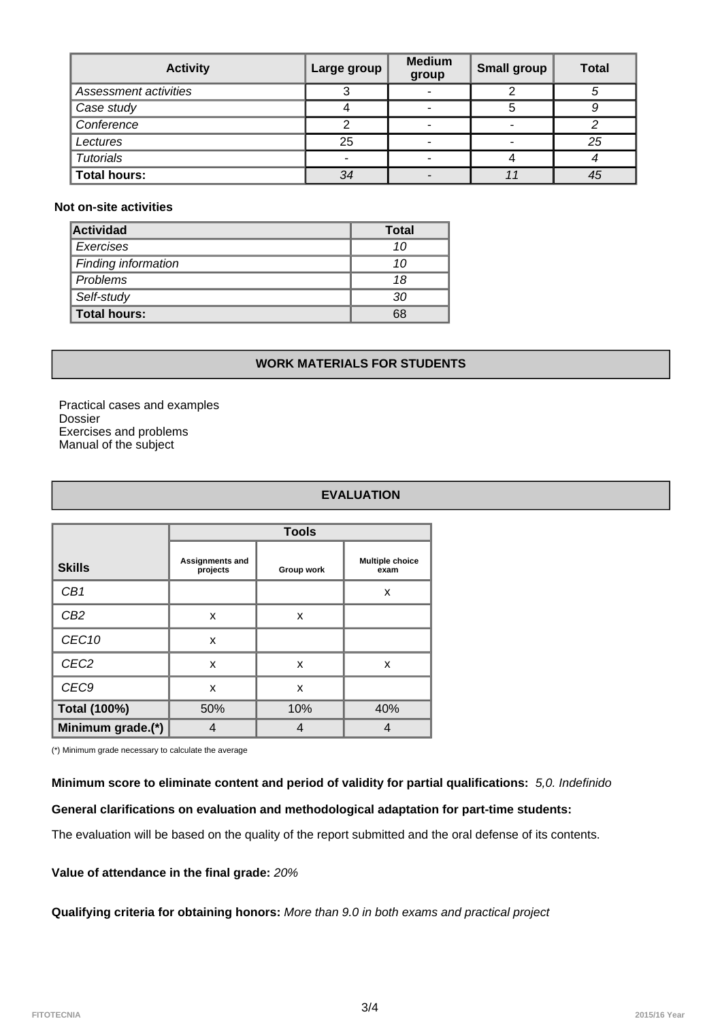| <b>Activity</b>       | Large group | <b>Medium</b><br>group | <b>Small group</b> | Total |
|-----------------------|-------------|------------------------|--------------------|-------|
| Assessment activities | ົ           |                        | ົ                  |       |
| Case study            |             |                        |                    |       |
| Conference            |             |                        | -                  |       |
| Lectures              | 25          |                        |                    | 25    |
| <b>Tutorials</b>      | ۰           |                        |                    |       |
| <b>Total hours:</b>   | 34          |                        |                    | 45    |

### **Not on-site activities**

| <b>Actividad</b>    | <b>Total</b> |  |
|---------------------|--------------|--|
| <i>Exercises</i>    | 10           |  |
| Finding information | 10           |  |
| Problems            | 18           |  |
| Self-study          | 30           |  |
| Total hours:        | 68           |  |

## **WORK MATERIALS FOR STUDENTS**

Practical cases and examples Dossier Exercises and problems Manual of the subject

# **EVALUATION**

|                   | <b>Tools</b>                |            |                                |  |
|-------------------|-----------------------------|------------|--------------------------------|--|
| <b>Skills</b>     | Assignments and<br>projects | Group work | <b>Multiple choice</b><br>exam |  |
| CB1               |                             |            | X                              |  |
| CB <sub>2</sub>   | X                           | x          |                                |  |
| CEC <sub>10</sub> | X                           |            |                                |  |
| CEC <sub>2</sub>  | X                           | X          | X                              |  |
| CEC <sub>9</sub>  | X                           | X          |                                |  |
| Total (100%)      | 50%                         | 10%        | 40%                            |  |
| Minimum grade.(*) |                             |            |                                |  |

(\*) Minimum grade necessary to calculate the average

## **Minimum score to eliminate content and period of validity for partial qualifications:** 5,0. Indefinido

### **General clarifications on evaluation and methodological adaptation for part-time students:**

The evaluation will be based on the quality of the report submitted and the oral defense of its contents.

## **Value of attendance in the final grade:** 20%

**Qualifying criteria for obtaining honors:** More than 9.0 in both exams and practical project